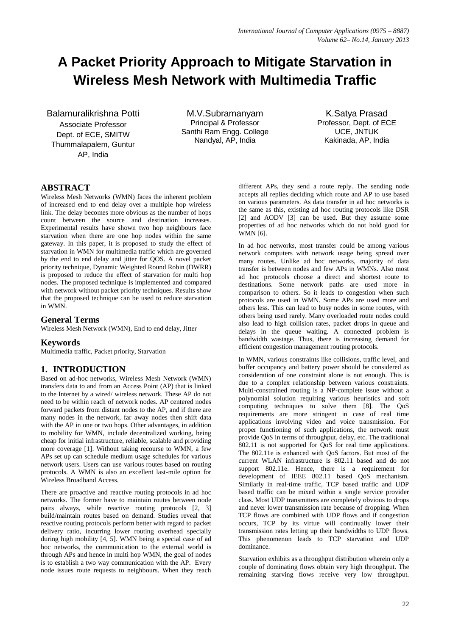# **A Packet Priority Approach to Mitigate Starvation in Wireless Mesh Network with Multimedia Traffic**

Balamuralikrishna Potti

Associate Professor Dept. of ECE, SMITW Thummalapalem, Guntur AP, India

M.V.Subramanyam Principal & Professor Santhi Ram Engg. College Nandyal, AP, India

K.Satya Prasad Professor, Dept. of ECE UCE, JNTUK Kakinada, AP, India

# **ABSTRACT**

Wireless Mesh Networks (WMN) faces the inherent problem of increased end to end delay over a multiple hop wireless link. The delay becomes more obvious as the number of hops count between the source and destination increases. Experimental results have shown two hop neighbours face starvation when there are one hop nodes within the same gateway. In this paper, it is proposed to study the effect of starvation in WMN for multimedia traffic which are governed by the end to end delay and jitter for QOS. A novel packet priority technique, Dynamic Weighted Round Robin (DWRR) is proposed to reduce the effect of starvation for multi hop nodes. The proposed technique is implemented and compared with network without packet priority techniques. Results show that the proposed technique can be used to reduce starvation in WMN.

# **General Terms**

Wireless Mesh Network (WMN), End to end delay, Jitter

# **Keywords**

Multimedia traffic, Packet priority, Starvation

# **1. INTRODUCTION**

Based on ad-hoc networks, Wireless Mesh Network (WMN) transfers data to and from an Access Point (AP) that is linked to the Internet by a wired/ wireless network. These AP do not need to be within reach of network nodes. AP centered nodes forward packets from distant nodes to the AP, and if there are many nodes in the network, far away nodes then shift data with the AP in one or two hops. Other advantages, in addition to mobility for WMN, include decentralized working, being cheap for initial infrastructure, reliable, scalable and providing more coverage [1]. Without taking recourse to WMN, a few APs set up can schedule medium usage schedules for various network users. Users can use various routes based on routing protocols. A WMN is also an excellent last-mile option for Wireless Broadband Access.

There are proactive and reactive routing protocols in ad hoc networks. The former have to maintain routes between node pairs always, while reactive routing protocols [2, 3] build/maintain routes based on demand. Studies reveal that reactive routing protocols perform better with regard to packet delivery ratio, incurring lower routing overhead specially during high mobility [4, 5]. WMN being a special case of ad hoc networks, the communication to the external world is through APs and hence in multi hop WMN, the goal of nodes is to establish a two way communication with the AP. Every node issues route requests to neighbours. When they reach

different APs, they send a route reply. The sending node accepts all replies deciding which route and AP to use based on various parameters. As data transfer in ad hoc networks is the same as this, existing ad hoc routing protocols like DSR [2] and AODV [3] can be used. But they assume some properties of ad hoc networks which do not hold good for WMN [6].

In ad hoc networks, most transfer could be among various network computers with network usage being spread over many routes. Unlike ad hoc networks, majority of data transfer is between nodes and few APs in WMNs. Also most ad hoc protocols choose a direct and shortest route to destinations. Some network paths are used more in comparison to others. So it leads to congestion when such protocols are used in WMN. Some APs are used more and others less. This can lead to busy nodes in some routes, with others being used rarely. Many overloaded route nodes could also lead to high collision rates, packet drops in queue and delays in the queue waiting. A connected problem is bandwidth wastage. Thus, there is increasing demand for efficient congestion management routing protocols.

In WMN, various constraints like collisions, traffic level, and buffer occupancy and battery power should be considered as consideration of one constraint alone is not enough. This is due to a complex relationship between various constraints. Multi-constrained routing is a NP-complete issue without a polynomial solution requiring various heuristics and soft computing techniques to solve them [8]. The QoS requirements are more stringent in case of real time applications involving video and voice transmission. For proper functioning of such applications, the network must provide QoS in terms of throughput, delay, etc. The traditional 802.11 is not supported for QoS for real time applications. The 802.11e is enhanced with QoS factors. But most of the current WLAN infrastructure is 802.11 based and do not support 802.11e. Hence, there is a requirement for development of IEEE 802.11 based QoS mechanism. Similarly in real-time traffic, TCP based traffic and UDP based traffic can be mixed within a single service provider class. Most UDP transmitters are completely obvious to drops and never lower transmission rate because of dropping. When TCP flows are combined with UDP flows and if congestion occurs, TCP by its virtue will continually lower their transmission rates letting up their bandwidths to UDP flows. This phenomenon leads to TCP starvation and UDP dominance.

Starvation exhibits as a throughput distribution wherein only a couple of dominating flows obtain very high throughput. The remaining starving flows receive very low throughput.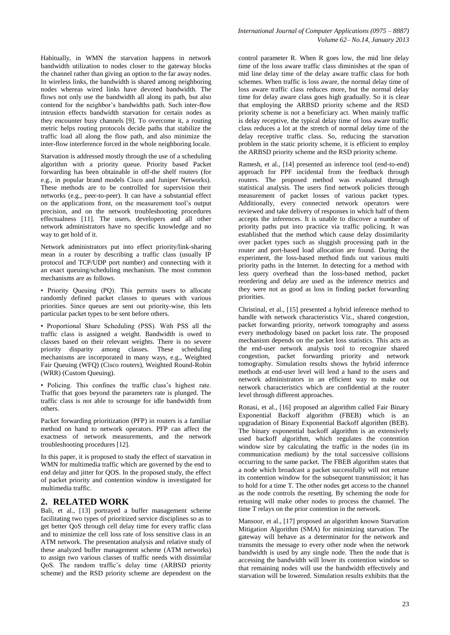Habitually, in WMN the starvation happens in network bandwidth utilization to nodes closer to the gateway blocks the channel rather than giving an option to the far away nodes. In wireless links, the bandwidth is shared among neighboring nodes whereas wired links have devoted bandwidth. The flows not only use the bandwidth all along its path, but also contend for the neighbor's bandwidths path. Such inter-flow intrusion effects bandwidth starvation for certain nodes as they encounter busy channels [9]. To overcome it, a routing metric helps routing protocols decide paths that stabilize the traffic load all along the flow path, and also minimize the inter-flow interference forced in the whole neighboring locale.

Starvation is addressed mostly through the use of a scheduling algorithm with a priority queue. Priority based Packet forwarding has been obtainable in off-the shelf routers (for e.g., in popular brand models Cisco and Juniper Networks). These methods are to be controlled for supervision their networks (e.g., peer-to-peer). It can have a substantial effect on the applications front, on the measurement tool's output precision, and on the network troubleshooting procedures effectualness [11]. The users, developers and all other network administrators have no specific knowledge and no way to get hold of it.

Network administrators put into effect priority/link-sharing mean in a router by describing a traffic class (usually IP protocol and TCP/UDP port number) and connecting with it an exact queuing/scheduling mechanism. The most common mechanisms are as follows.

• Priority Queuing (PQ). This permits users to allocate randomly defined packet classes to queues with various priorities. Since queues are sent out priority-wise, this lets particular packet types to be sent before others.

• Proportional Share Scheduling (PSS). With PSS all the traffic class is assigned a weight. Bandwidth is owed to classes based on their relevant weights. There is no severe priority disparity among classes. These scheduling mechanisms are incorporated in many ways, e.g., Weighted Fair Queuing (WFQ) (Cisco routers), Weighted Round-Robin (WRR) (Custom Queuing).

• Policing. This confines the traffic class's highest rate. Traffic that goes beyond the parameters rate is plunged. The traffic class is not able to scrounge for idle bandwidth from others.

Packet forwarding prioritization (PFP) in routers is a familiar method on hand to network operators. PFP can affect the exactness of network measurements, and the network troubleshooting procedures [12].

In this paper, it is proposed to study the effect of starvation in WMN for multimedia traffic which are governed by the end to end delay and jitter for QOS. In the proposed study, the effect of packet priority and contention window is investigated for multimedia traffic.

### **2. RELATED WORK**

Bali, et al., [13] portrayed a buffer management scheme facilitating two types of prioritized service disciplines so as to get better QoS through cell delay time for every traffic class and to minimize the cell loss rate of loss sensitive class in an ATM network. The presentation analysis and relative study of these analyzed buffer management scheme (ATM networks) to assign two various classes of traffic needs with dissimilar QoS. The random traffic's delay time (ARBSD priority scheme) and the RSD priority scheme are dependent on the

control parameter R. When R goes low, the mid line delay time of the loss aware traffic class diminishes at the span of mid line delay time of the delay aware traffic class for both schemes. When traffic is loss aware, the normal delay time of loss aware traffic class reduces more, but the normal delay time for delay aware class goes high gradually. So it is clear that employing the ARBSD priority scheme and the RSD priority scheme is not a beneficiary act. When mainly traffic is delay receptive, the typical delay time of loss aware traffic class reduces a lot at the stretch of normal delay time of the delay receptive traffic class. So, reducing the starvation problem in the static priority scheme, it is efficient to employ the ARBSD priority scheme and the RSD priority scheme.

Ramesh, et al., [14] presented an inference tool (end-to-end) approach for PPF incidental from the feedback through routers. The proposed method was evaluated through statistical analysis. The users find network policies through measurement of packet losses of various packet types. Additionally, every connected network operators were reviewed and take delivery of responses in which half of them accepts the inferences. It is unable to discover a number of priority paths put into practice via traffic policing. It was established that the method which cause delay dissimilarity over packet types such as sluggish processing path in the router and port-based load allocation are found. During the experiment, the loss-based method finds out various multi priority paths in the Internet. In detecting for a method with less query overhead than the loss-based method, packet reordering and delay are used as the inference metrics and they were not as good as loss in finding packet forwarding priorities.

Christinal, et al., [15] presented a hybrid inference method to handle with network characteristics Viz., shared congestion, packet forwarding priority, network tomography and assess every methodology based on packet loss rate. The proposed mechanism depends on the packet loss statistics. This acts as the end-user network analysis tool to recognize shared congestion, packet forwarding priority and network tomography. Simulation results shows the hybrid inference methods at end-user level will lend a hand to the users and network administrators in an efficient way to make out network characteristics which are confidential at the router level through different approaches.

Ronasi, et al., [16] proposed an algorithm called Fair Binary Exponential Backoff algorithm (FBEB) which is an upgradation of Binary Exponential Backoff algorithm (BEB). The binary exponential backoff algorithm is an extensively used backoff algorithm, which regulates the contention window size by calculating the traffic in the nodes (in its communication medium) by the total successive collisions occurring to the same packet. The FBEB algorithm states that a node which broadcast a packet successfully will not retune its contention window for the subsequent transmission; it has to hold for a time T. The other nodes get access to the channel as the node controls the resetting. By scheming the node for retuning will make other nodes to process the channel. The time T relays on the prior contention in the network.

Mansoor, et al., [17] proposed an algorithm known Starvation Mitigation Algorithm (SMA) for minimizing starvation. The gateway will behave as a determinator for the network and transmits the message to every other node when the network bandwidth is used by any single node. Then the node that is accessing the bandwidth will lower its contention window so that remaining nodes will use the bandwidth effectively and starvation will be lowered. Simulation results exhibits that the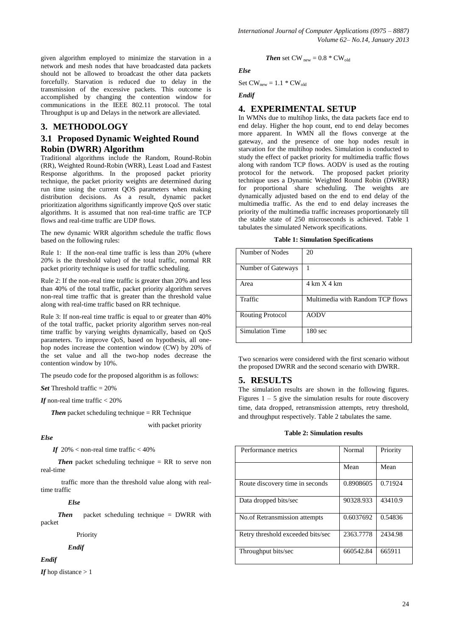given algorithm employed to minimize the starvation in a network and mesh nodes that have broadcasted data packets should not be allowed to broadcast the other data packets forcefully. Starvation is reduced due to delay in the transmission of the excessive packets. This outcome is accomplished by changing the contention window for communications in the IEEE 802.11 protocol. The total Throughput is up and Delays in the network are alleviated.

## **3. METHODOLOGY**

# **3.1 Proposed Dynamic Weighted Round Robin (DWRR) Algorithm**

Traditional algorithms include the Random, Round-Robin (RR), Weighted Round-Robin (WRR), Least Load and Fastest Response algorithms. In the proposed packet priority technique, the packet priority weights are determined during run time using the current QOS parameters when making distribution decisions. As a result, dynamic packet prioritization algorithms significantly improve QoS over static algorithms. It is assumed that non real-time traffic are TCP flows and real-time traffic are UDP flows.

The new dynamic WRR algorithm schedule the traffic flows based on the following rules:

Rule 1: If the non-real time traffic is less than 20% (where 20% is the threshold value) of the total traffic, normal RR packet priority technique is used for traffic scheduling.

Rule 2: If the non-real time traffic is greater than 20% and less than 40% of the total traffic, packet priority algorithm serves non-real time traffic that is greater than the threshold value along with real-time traffic based on RR technique.

Rule 3: If non-real time traffic is equal to or greater than 40% of the total traffic, packet priority algorithm serves non-real time traffic by varying weights dynamically, based on QoS parameters. To improve QoS, based on hypothesis, all onehop nodes increase the contention window (CW) by 20% of the set value and all the two-hop nodes decrease the contention window by 10%.

The pseudo code for the proposed algorithm is as follows:

*Set* Threshold traffic  $= 20\%$ 

*If* non-real time traffic < 20%

*Then* packet scheduling technique = RR Technique

with packet priority

#### *Else*

*If*  $20\%$  < non-real time traffic < 40%

*Then* packet scheduling technique = RR to serve non real-time

 traffic more than the threshold value along with realtime traffic

#### *Else*

*Then* packet scheduling technique = DWRR with packet

#### Priority

#### *Endif*

*Endif*

*If* hop distance  $> 1$ 

Then set CW 
$$
_{new} = 0.8 * CW_{old}
$$

*Else*

$$
Set\,\text{CW}_{new} = 1.1 \, \text{ * } \text{CW}_{old}
$$

*Endif*

## **4. EXPERIMENTAL SETUP**

In WMNs due to multihop links, the data packets face end to end delay. Higher the hop count, end to end delay becomes more apparent. In WMN all the flows converge at the gateway, and the presence of one hop nodes result in starvation for the multihop nodes. Simulation is conducted to study the effect of packet priority for multimedia traffic flows along with random TCP flows. AODV is used as the routing protocol for the network. The proposed packet priority technique uses a Dynamic Weighted Round Robin (DWRR) for proportional share scheduling. The weights are dynamically adjusted based on the end to end delay of the multimedia traffic. As the end to end delay increases the priority of the multimedia traffic increases proportionately till the stable state of 250 microseconds is achieved. Table 1 tabulates the simulated Network specifications.

|  |  | <b>Table 1: Simulation Specifications</b> |
|--|--|-------------------------------------------|
|--|--|-------------------------------------------|

| Number of Nodes         | 20                               |
|-------------------------|----------------------------------|
| Number of Gateways      |                                  |
| Area                    | $4 \text{ km X } 4 \text{ km}$   |
| Traffic                 | Multimedia with Random TCP flows |
| <b>Routing Protocol</b> | <b>AODV</b>                      |
| <b>Simulation Time</b>  | 180 <sub>sec</sub>               |

Two scenarios were considered with the first scenario without the proposed DWRR and the second scenario with DWRR.

# **5. RESULTS**

The simulation results are shown in the following figures. Figures  $1 - 5$  give the simulation results for route discovery time, data dropped, retransmission attempts, retry threshold, and throughput respectively. Table 2 tabulates the same.

#### **Table 2: Simulation results**

| Performance metrics                  | Normal    | Priority |
|--------------------------------------|-----------|----------|
|                                      | Mean      | Mean     |
| Route discovery time in seconds      | 0.8908605 | 0.71924  |
| Data dropped bits/sec                | 90328.933 | 43410.9  |
| <b>No.of Retransmission attempts</b> | 0.6037692 | 0.54836  |
| Retry threshold exceeded bits/sec    | 2363.7778 | 2434.98  |
| Throughput bits/sec                  | 660542.84 | 665911   |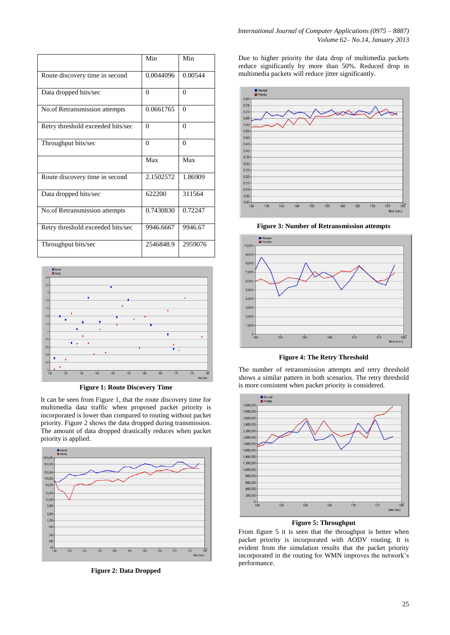|                                   | Min       | Min      |
|-----------------------------------|-----------|----------|
| Route discovery time in second    | 0.0044096 | 0.00544  |
| Data dropped bits/sec             | $\theta$  | $\Omega$ |
| No.of Retransmission attempts     | 0.0661765 | $\Omega$ |
| Retry threshold exceeded bits/sec | $\Omega$  | $\Omega$ |
| Throughput bits/sec               | $\Omega$  | $\Omega$ |
|                                   | Max       | Max      |
| Route discovery time in second    | 2.1502572 | 1.86909  |
| Data dropped bits/sec             | 622200    | 311564   |
| No.of Retransmission attempts     | 0.7430830 | 0.72247  |
| Retry threshold exceeded bits/sec | 9946.6667 | 9946.67  |
| Throughput bits/sec               | 2546848.9 | 2959076  |



**Figure 1: Route Discovery Time**

It can be seen from Figure 1, that the route discovery time for multimedia data traffic when proposed packet priority is incorporated is lower than compared to routing without packet priority. Figure 2 shows the data dropped during transmission. The amount of data dropped drastically reduces when packet priority is applied.



**Figure 2: Data Dropped**

Due to higher priority the data drop of multimedia packets reduce significantly by more than 50%. Reduced drop in multimedia packets will reduce jitter significantly.



**Figure 3: Number of Retransmission attempts**



**Figure 4: The Retry Threshold**

The number of retransmission attempts and retry threshold shows a similar pattern in both scenarios. The retry threshold is more consistent when packet priority is considered.



**Figure 5: Throughput**

From figure 5 it is seen that the throughput is better when packet priority is incorporated with AODV routing. It is evident from the simulation results that the packet priority incorporated in the routing for WMN improves the network's performance.